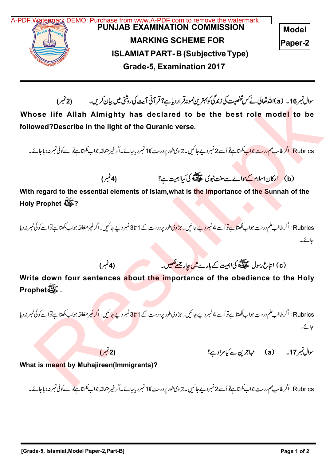

سوال نمبر 16 – (a) الله تعالى نے *کس شخصی*ت کی زندگی کو بہترین نمونہ قرار دیا ہے؟ قرآنی است کی روشی میں بیان کریں۔

Whose life Allah Almighty has declared to be the best role model to be followed?Describe in the light of the Quranic verse.

Rubrics: اگر طالب علم درست جواب کھتا ہےتو اُسے 2 نمبر دیے جائیں۔جزوی طور پر درست کا 1 نمبر دیاجائے۔اگر غیرمتعلقہ جواب کھتا ہےتواسےکوئی نمبر نہ دیاجائے۔

(b) ارکان اسلام کے حوالے سے منت نبوی علیللہ کی کیااہیت ہے؟<br>(b)

With regard to the essential elements of Islam, what is the importance of the Sunnah of the Holy Prophet ?

Rubrics: اگرطالب علم درست جواب ککھتا ہے تو اُسے 4 نمبر دیے جائیں۔جزوی طور پر درست کے 1 تا3 نمبر دے جائیں۔اگرغیرمتعلقہ جواب ککھتا ہےتواسے کوئی نمبر نہ دیا حائے۔

(c) امتاع رسول علیللہ کی اہمیت کے بارے <mark>میں جار جملاکھیں۔</mark> (4 میں (4 نمبر)

Write down four sentences about the importance of the obedience to the Holy Prophet .

Rubrics: اگر طالب علم درست جواب ککھتا ہے تو اُسے 4 نمبر دیے جا ئیں۔ جز وی طور پر درست کے 1 <mark>تا3 نمبر دیکھائیں۔اگر غیر متعلقہ</mark> جواب ککھتا ہے تواسے کوئی نمبر نہ دیا حائے۔ سوال فیره 16. دان الله فائد التي تصادر المحل التي تصادر المحل التي تعالى التي تصادر المحل التي تصادر المحل التي تصادر المحل التي تصادر المحل التي تصادر المحل التي تصادر المحل التي تصادر المحل التي تصادر المحل التي تصادر

(2) <sup>a</sup> 17

What is meant by Muhajireen(Immigrants)?

Rubrics: اگر طالب علم درست جواب کھتاہےتو اُسے 2 نمبر دیے جائیں۔جزوی طور پردرست کا 1 نمبر دیاجائے۔اگرغیرمتعلقہ جواب کھتا ہے تواسےکوئی نمبر نہ دیاجائے۔